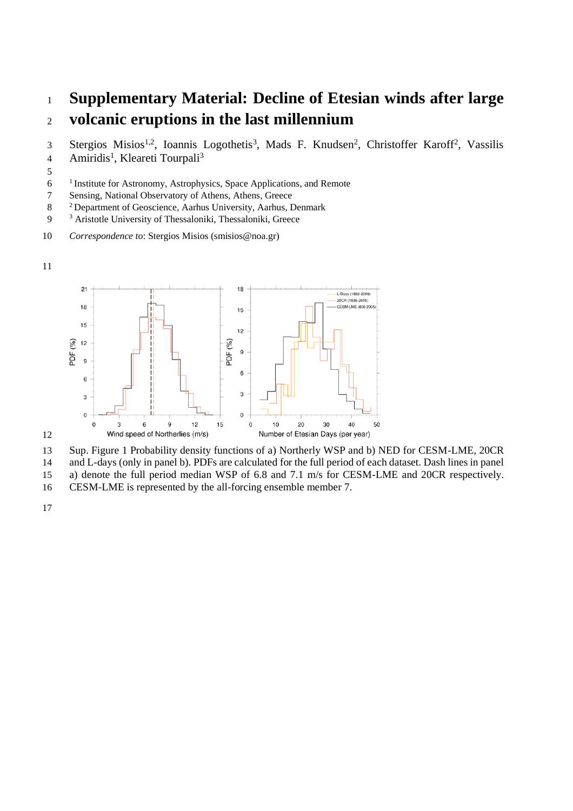## **Supplementary Material: Decline of Etesian winds after large volcanic eruptions in the last millennium**

3 Stergios Misios<sup>1,2</sup>, Ioannis Logothetis<sup>3</sup>, Mads F. Knudsen<sup>2</sup>, Christoffer Karoff<sup>2</sup>, Vassilis Amiridis<sup>1</sup>, Kleareti Tourpali<sup>3</sup> 

<sup>1</sup> Institute for Astronomy, Astrophysics, Space Applications, and Remote

Sensing, National Observatory of Athens, Athens, Greece

- Department of Geoscience, Aarhus University, Aarhus, Denmark
- <sup>3</sup> Aristotle University of Thessaloniki, Thessaloniki, Greece
- *Correspondence to*: Stergios Misios (smisios@noa.gr)





Sup. Figure 1 Probability density functions of a) Northerly WSP and b) NED for CESM-LME, 20CR

and L-days (only in panel b). PDFs are calculated for the full period of each dataset. Dash lines in panel

a) denote the full period median WSP of 6.8 and 7.1 m/s for CESM-LME and 20CR respectively.

CESM-LME is represented by the all-forcing ensemble member 7.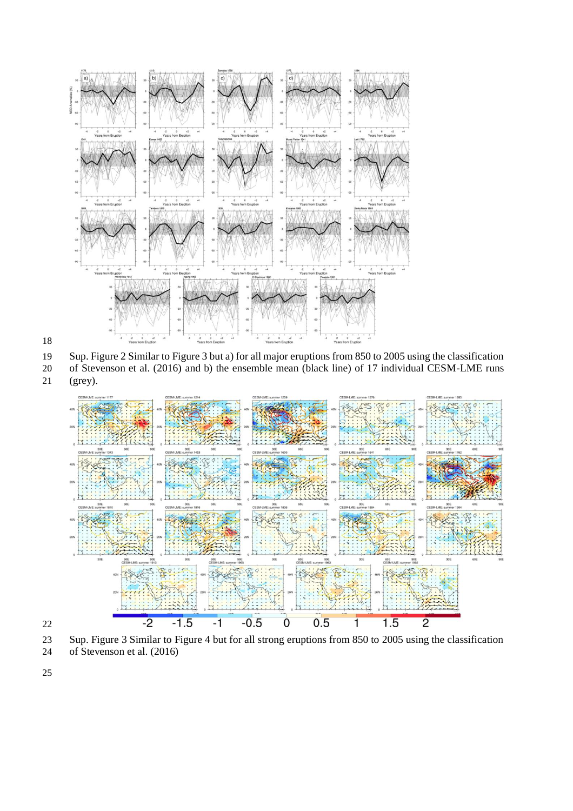

 Sup. Figure 2 Similar to Figure 3 but a) for all major eruptions from 850 to 2005 using the classification of Stevenson et al. (2016) and b) the ensemble mean (black line) of 17 individual CESM-LME runs

(grey).



 Sup. Figure 3 Similar to Figure 4 but for all strong eruptions from 850 to 2005 using the classification of Stevenson et al. (2016)